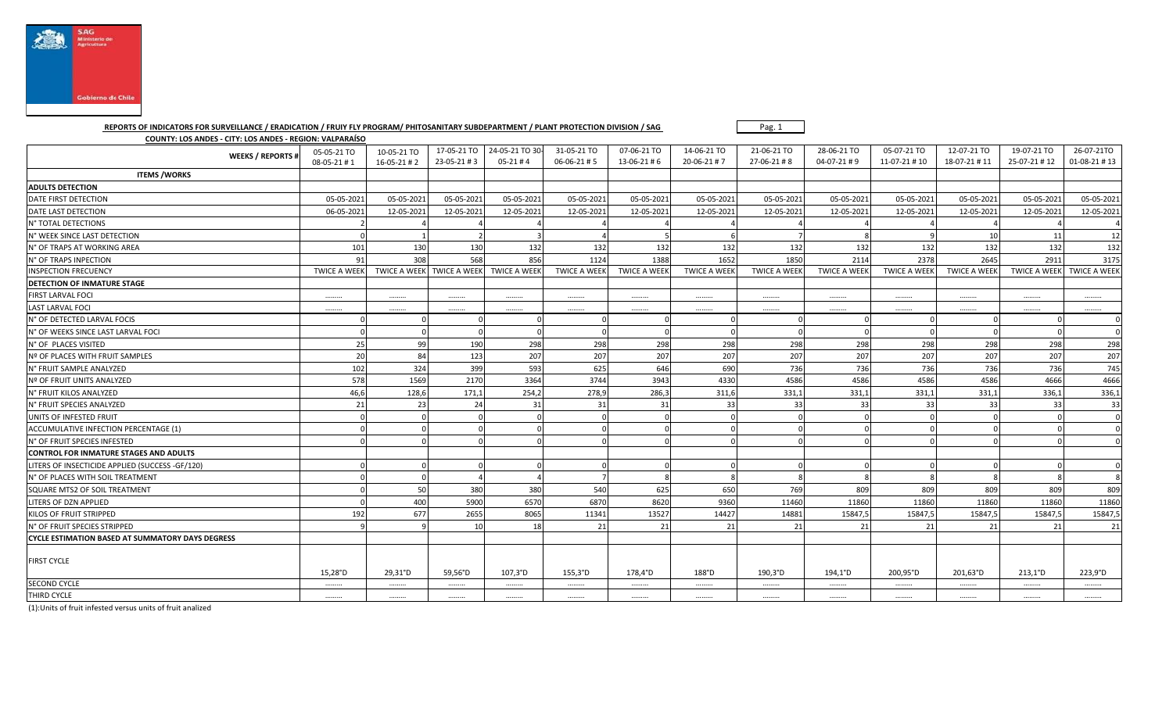

## **REPORTS OF INDICATORS FOR SURVEILLANCE / ERADICATION / FRUIY FLY PROGRAM/ PHITOSANITARY SUBDEPARTMENT / PLANT PROTECTION DIVISION / SAG**

Pag. 1

**COUNTY: LOS ANDES - CITY: LOS ANDES - REGION: VALPARAÍSO**

| <b>WEEKS / REPORTS#</b>                                 | 05-05-21 TO         | 10-05-21 TO         | 17-05-21 TO         | 24-05-21 TO 30-     | 31-05-21 TO         | 07-06-21 TO         | 14-06-21 TO         | 21-06-21 TO         | 28-06-21 TO         | 05-07-21 TO         | 12-07-21 TO         | 19-07-21 TO         | 26-07-21TO              |
|---------------------------------------------------------|---------------------|---------------------|---------------------|---------------------|---------------------|---------------------|---------------------|---------------------|---------------------|---------------------|---------------------|---------------------|-------------------------|
|                                                         | 08-05-21 #1         | $16 - 05 - 21 \# 2$ | 23-05-21#3          | $05-21 \# 4$        | 06-06-21#5          | 13-06-21#6          | 20-06-21#7          | 27-06-21#8          | $04-07-21 \# 9$     | 11-07-21 #10        | 18-07-21 #11        | 25-07-21 #12        | $01-08-21 \# 13$        |
| <b>ITEMS /WORKS</b>                                     |                     |                     |                     |                     |                     |                     |                     |                     |                     |                     |                     |                     |                         |
| <b>ADULTS DETECTION</b>                                 |                     |                     |                     |                     |                     |                     |                     |                     |                     |                     |                     |                     |                         |
| DATE FIRST DETECTION                                    | 05-05-2021          | 05-05-2021          | 05-05-2021          | 05-05-2021          | 05-05-2021          | 05-05-2021          | 05-05-2021          | 05-05-2021          | 05-05-2021          | 05-05-2021          | 05-05-2021          | 05-05-2021          | 05-05-2021              |
| DATE LAST DETECTION                                     | 06-05-2021          | 12-05-2021          | 12-05-2021          | 12-05-2021          | 12-05-2021          | 12-05-2021          | 12-05-2021          | 12-05-2021          | 12-05-2021          | 12-05-2021          | 12-05-2021          | 12-05-2021          | 12-05-2021              |
| N° TOTAL DETECTIONS                                     |                     |                     |                     |                     |                     |                     |                     |                     |                     |                     |                     |                     |                         |
| N° WEEK SINCE LAST DETECTION                            |                     |                     |                     |                     |                     |                     |                     |                     |                     |                     | 10                  | 11                  | 12                      |
| N° OF TRAPS AT WORKING AREA                             | 101                 | 130                 | 130                 | 132                 | 132                 | 132                 | 132                 | 132                 | 132                 | 132                 | 132                 | 132                 | 132                     |
| N° OF TRAPS INPECTION                                   | 91                  | 308                 | 568                 | 856                 | 1124                | 1388                | 1652                | 1850                | 2114                | 2378                | 2645                | 2911                | 3175                    |
| <b>INSPECTION FRECUENCY</b>                             | <b>TWICE A WEEK</b> | <b>TWICE A WEEK</b> | <b>TWICE A WEEK</b> | <b>TWICE A WEEK</b> | <b>TWICE A WEEK</b> | <b>TWICE A WEEK</b> | <b>TWICE A WEEK</b> | <b>TWICE A WEEK</b> | <b>TWICE A WEEK</b> | <b>TWICE A WEEK</b> | <b>TWICE A WEEK</b> | <b>TWICE A WEEK</b> | <b>TWICE A WEEK</b>     |
| <b>DETECTION OF INMATURE STAGE</b>                      |                     |                     |                     |                     |                     |                     |                     |                     |                     |                     |                     |                     |                         |
| <b>FIRST LARVAL FOCI</b>                                |                     |                     |                     |                     |                     |                     |                     |                     |                     |                     |                     |                     |                         |
| <b>LAST LARVAL FOCI</b>                                 |                     |                     |                     |                     |                     |                     |                     |                     |                     |                     |                     |                     |                         |
| N° OF DETECTED LARVAL FOCIS                             |                     |                     |                     |                     |                     |                     |                     |                     |                     |                     |                     |                     | 0                       |
| N° OF WEEKS SINCE LAST LARVAL FOCI                      |                     |                     |                     |                     |                     |                     |                     |                     |                     |                     |                     |                     | $\overline{0}$          |
| N° OF PLACES VISITED                                    | 25                  | 99                  | 190                 | 298                 | 298                 | 298                 | 298                 | 298                 | 298                 | 298                 | 298                 | 298                 | 298                     |
| Nº OF PLACES WITH FRUIT SAMPLES                         | 20                  | 84                  | 123                 | 207                 | 207                 | 207                 | 207                 | 207                 | 207                 | 207                 | 207                 | 207                 | 207                     |
| N° FRUIT SAMPLE ANALYZED                                | 102                 | 324                 | 399                 | 593                 | 625                 | 646                 | 690                 | 736                 | 736                 | 736                 | 736                 | 736                 | 745                     |
| Nº OF FRUIT UNITS ANALYZED                              | 578                 | 1569                | 2170                | 3364                | 3744                | 3943                | 4330                | 4586                | 4586                | 4586                | 4586                | 4666                | 4666                    |
| N° FRUIT KILOS ANALYZED                                 | 46,6                | 128,6               | 171,1               | 254,2               | 278,9               | 286,3               | 311,6               | 331,1               | 331,1               | 331,1               | 331,1               | 336,1               | 336,1                   |
| N° FRUIT SPECIES ANALYZED                               | 21                  | 23                  | 24                  | 31                  | 31                  | 31                  | 33                  | 33                  | 33                  | 33                  | 33                  | 33                  | 33                      |
| UNITS OF INFESTED FRUIT                                 |                     |                     |                     |                     |                     |                     |                     |                     |                     |                     |                     |                     | $\overline{\mathbf{0}}$ |
| ACCUMULATIVE INFECTION PERCENTAGE (1)                   |                     |                     |                     |                     |                     |                     |                     |                     |                     |                     |                     |                     | $\overline{0}$          |
| N° OF FRUIT SPECIES INFESTED                            |                     |                     |                     |                     |                     |                     |                     |                     |                     |                     |                     |                     | $\Omega$                |
| CONTROL FOR INMATURE STAGES AND ADULTS                  |                     |                     |                     |                     |                     |                     |                     |                     |                     |                     |                     |                     |                         |
| LITERS OF INSECTICIDE APPLIED (SUCCESS -GF/120)         |                     |                     |                     |                     |                     |                     |                     |                     |                     |                     |                     |                     | $\overline{0}$          |
| N° OF PLACES WITH SOIL TREATMENT                        |                     | $\sqrt{ }$          |                     |                     |                     |                     |                     |                     |                     |                     |                     | $\mathbf{R}$        | 8                       |
| SQUARE MTS2 OF SOIL TREATMENT                           |                     | 50                  | 380                 | 380                 | 540                 | 625                 | 650                 | 769                 | 809                 | 809                 | 809                 | 809                 | 809                     |
| LITERS OF DZN APPLIED                                   |                     | 400                 | 5900                | 6570                | 6870                | 8620                | 9360                | 11460               | 11860               | 11860               | 11860               | 11860               | 11860                   |
| KILOS OF FRUIT STRIPPED                                 | 192                 | 677                 | 2655                | 8065                | 11341               | 13527               | 14427               | 14881               | 15847,5             | 15847,5             | 15847,5             | 15847,5             | 15847,5                 |
| N° OF FRUIT SPECIES STRIPPED                            |                     |                     | 10                  | 18                  | 21                  | 21                  | 21                  | 21                  | 21                  | 21                  | 21                  | 21                  | 21                      |
| <b>CYCLE ESTIMATION BASED AT SUMMATORY DAYS DEGRESS</b> |                     |                     |                     |                     |                     |                     |                     |                     |                     |                     |                     |                     |                         |
| <b>FIRST CYCLE</b>                                      |                     |                     |                     |                     |                     |                     |                     |                     |                     |                     |                     |                     |                         |
|                                                         | 15,28°D             | 29,31°D             | 59,56°D             | 107,3°D             | 155,3°D             | 178,4°D             | 188°D               | 190,3°D             | $194.1^{\circ}D$    | 200,95°D            | 201,63°D            | $213,1^{\circ}D$    | 223,9°D                 |
| <b>SECOND CYCLE</b>                                     |                     |                     |                     |                     |                     |                     |                     |                     |                     |                     |                     |                     |                         |
| THIRD CYCLE                                             |                     |                     |                     |                     |                     |                     |                     |                     |                     |                     |                     |                     |                         |

(1):Units of fruit infested versus units of fruit analized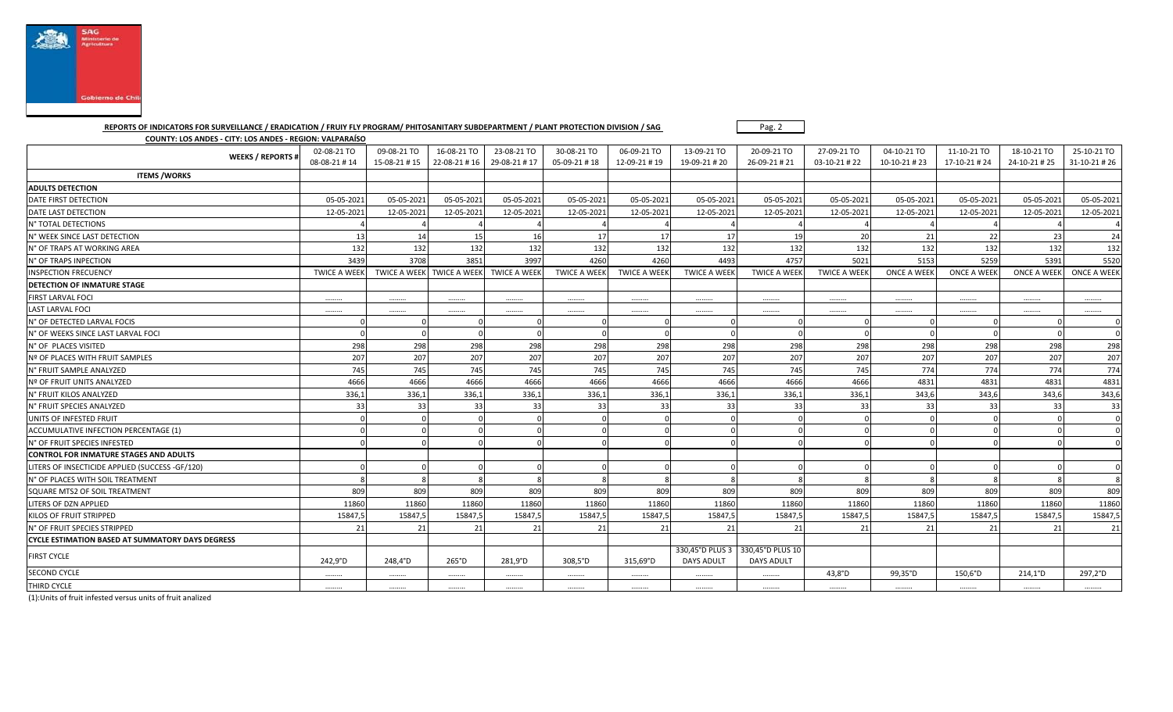

 **REPORTS OF INDICATORS FOR SURVEILLANCE / ERADICATION / FRUIY FLY PROGRAM/ PHITOSANITARY SUBDEPARTMENT / PLANT PROTECTION DIVISION / SAG** 

**COUNTY: LOS ANDES - CITY: LOS ANDES - REGION: VALPARAÍSO**

FIRST CYCLE 242,9°D 248,4°D 265°D 281,9°D 281,9°D 315,69°D

Pag. 2

25-10-21 TO

330,45°D PLUS 3 330,45°D PLUS 10

DAYS ADULT

DAYS ADULT

| <b>WEEKS / REPORTS #</b>                                | 02-08-21 TO<br>08-08-21 #14 | 09-08-21 TO<br>15-08-21 #15 | 16-08-21 TO<br>22-08-21 #16 | 23-08-21 TO<br>29-08-21 #17 | 30-08-21 TO<br>05-09-21 #18 | 06-09-21 TO<br>12-09-21 #19 | 13-09-21 TO<br>19-09-21 #20 | 20-09-21 TO<br>26-09-21 # 21 | 27-09-21 TO<br>03-10-21 #22 | 04-10-21 TO<br>10-10-21 #23 | 11-10-21 TO<br>17-10-21 #24 | 18-10-21 TO<br>24-10-21 #25 | 25-10-21 TO<br>31-10-21 #26 |
|---------------------------------------------------------|-----------------------------|-----------------------------|-----------------------------|-----------------------------|-----------------------------|-----------------------------|-----------------------------|------------------------------|-----------------------------|-----------------------------|-----------------------------|-----------------------------|-----------------------------|
| <b>ITEMS/WORKS</b>                                      |                             |                             |                             |                             |                             |                             |                             |                              |                             |                             |                             |                             |                             |
| <b>ADULTS DETECTION</b>                                 |                             |                             |                             |                             |                             |                             |                             |                              |                             |                             |                             |                             |                             |
| DATE FIRST DETECTION                                    | 05-05-2021                  | 05-05-2021                  | 05-05-2021                  | 05-05-2021                  | 05-05-2021                  | 05-05-2021                  | 05-05-2021                  | 05-05-2021                   | 05-05-2021                  | 05-05-2021                  | 05-05-2021                  | 05-05-2021                  | 05-05-2021                  |
| DATE LAST DETECTION                                     | 12-05-2022                  | 12-05-2021                  | 12-05-2021                  | 12-05-2021                  | 12-05-2021                  | 12-05-2021                  | 12-05-2021                  | 12-05-2021                   | 12-05-2021                  | 12-05-2021                  | 12-05-2021                  | 12-05-2021                  | 12-05-2021                  |
| N° TOTAL DETECTIONS                                     |                             |                             |                             |                             |                             |                             |                             |                              |                             |                             |                             |                             |                             |
| N° WEEK SINCE LAST DETECTION                            | 13                          | 14                          | 15 <sup>1</sup>             | 16                          | 17                          | 17                          | 17                          | 19                           | 20                          | 21                          | 22                          | 23                          | 24                          |
| N° OF TRAPS AT WORKING AREA                             | 132                         | 132                         | 132                         | 132                         | 132                         | 132                         | 132                         | 132                          | 132                         | 132                         | 132                         | 132                         | 132                         |
| N° OF TRAPS INPECTION                                   | 3439                        | 3708                        | 3851                        | 3997                        | 4260                        | 4260                        | 4493                        | 4757                         | 5021                        | 5153                        | 5259                        | 5391                        | 5520                        |
| <b>INSPECTION FRECUENCY</b>                             | <b>TWICE A WEEK</b>         | TWICE A WEEK TWICE A WEEK   |                             | <b>TWICE A WEEK</b>         | <b>TWICE A WEEK</b>         | <b>TWICE A WEEK</b>         | <b>TWICE A WEEK</b>         | <b>TWICE A WEEK</b>          | <b>TWICE A WEEK</b>         | <b>ONCE A WEEK</b>          | <b>ONCE A WEEK</b>          | <b>ONCE A WEEK</b>          | <b>ONCE A WEEK</b>          |
| <b>DETECTION OF INMATURE STAGE</b>                      |                             |                             |                             |                             |                             |                             |                             |                              |                             |                             |                             |                             |                             |
| <b>FIRST LARVAL FOCI</b>                                |                             |                             |                             |                             |                             |                             |                             |                              |                             |                             |                             |                             |                             |
| <b>LAST LARVAL FOCI</b>                                 |                             |                             |                             |                             |                             |                             |                             |                              |                             |                             |                             |                             |                             |
| N° OF DETECTED LARVAL FOCIS                             |                             |                             |                             |                             |                             |                             |                             |                              |                             |                             |                             |                             |                             |
| N° OF WEEKS SINCE LAST LARVAL FOCI                      |                             |                             |                             |                             |                             |                             |                             |                              |                             |                             |                             |                             |                             |
| N° OF PLACES VISITED                                    | 298                         | 298                         | 298                         | 298                         | 298                         | 298                         | 298                         | 298                          | 298                         | 298                         | 298                         | 298                         | 298                         |
| Nº OF PLACES WITH FRUIT SAMPLES                         | 207                         | 207                         | 207                         | 207                         | 207                         | 207                         | 207                         | 207                          | 207                         | 207                         | 207                         | 207                         | 207                         |
| N° FRUIT SAMPLE ANALYZED                                | 745                         | 745                         | 745                         | 745                         | 745                         | 745                         | 745                         | 745                          | 745                         | 774                         | 774                         | 774                         | 774                         |
| Nº OF FRUIT UNITS ANALYZED                              | 4666                        | 4666                        | 4666                        | 4666                        | 4666                        | 4666                        | 4666                        | 4666                         | 4666                        | 4831                        | 4831                        | 4831                        | 4831                        |
| N° FRUIT KILOS ANALYZED                                 | 336,1                       | 336,1                       | 336,1                       | 336,1                       | 336,1                       | 336,1                       | 336,1                       | 336,1                        | 336,1                       | 343,6                       | 343,6                       | 343,6                       | 343,6                       |
| N° FRUIT SPECIES ANALYZED                               | 33                          | 33                          | 33                          | 33                          | 33                          | 33                          | 33                          | 33                           | 33                          | 33                          | 33                          | 33                          | 33                          |
| UNITS OF INFESTED FRUIT                                 |                             |                             |                             |                             |                             |                             |                             |                              |                             |                             |                             |                             | $\mathbf{C}$                |
| ACCUMULATIVE INFECTION PERCENTAGE (1)                   |                             |                             |                             |                             |                             |                             |                             |                              |                             |                             |                             |                             | $\mathfrak{a}$              |
| N° OF FRUIT SPECIES INFESTED                            |                             |                             |                             |                             |                             |                             |                             |                              |                             |                             |                             |                             | $\sqrt{ }$                  |
| <b>CONTROL FOR INMATURE STAGES AND ADULTS</b>           |                             |                             |                             |                             |                             |                             |                             |                              |                             |                             |                             |                             |                             |
| LITERS OF INSECTICIDE APPLIED (SUCCESS -GF/120)         |                             |                             |                             |                             |                             |                             |                             |                              |                             |                             |                             |                             | $\sqrt{ }$                  |
| N° OF PLACES WITH SOIL TREATMENT                        |                             |                             |                             |                             |                             |                             |                             |                              |                             |                             |                             |                             |                             |
| SQUARE MTS2 OF SOIL TREATMENT                           | 809                         | 809                         | 809                         | 809                         | 809                         | 809                         | 809                         | 809                          | 809                         | 809                         | 809                         | 809                         | 809                         |
| LITERS OF DZN APPLIED                                   | 11860                       | 11860                       | 11860                       | 11860                       | 11860                       | 11860                       | 11860                       | 11860                        | 11860                       | 11860                       | 11860                       | 11860                       | 11860                       |
| KILOS OF FRUIT STRIPPED                                 | 15847,                      | 15847,5                     | 15847,5                     | 15847,5                     | 15847,5                     | 15847,5                     | 15847,5                     | 15847,5                      | 15847,5                     | 15847,                      | 15847,5                     | 15847,5                     | 15847,5                     |
| N° OF FRUIT SPECIES STRIPPED                            | 21                          | 21                          | 21                          |                             | 21                          | 21                          | 21                          | 21                           | 21                          | 21                          | 21                          | 21                          | 21                          |
| <b>CYCLE ESTIMATION BASED AT SUMMATORY DAYS DEGRESS</b> |                             |                             |                             |                             |                             |                             |                             |                              |                             |                             |                             |                             |                             |

SECOND CYCLE ……… | ……… | ……… | ……… | ……… | ……… | 43,8°D | 99,35°D | 150,6°D | 214,1°D | 297,2°D THIRD CYCLE ……… ……… ……… ……… ……… ……… ……… ……… ……… ……… ……… ……… ………

(1):Units of fruit infested versus units of fruit analized